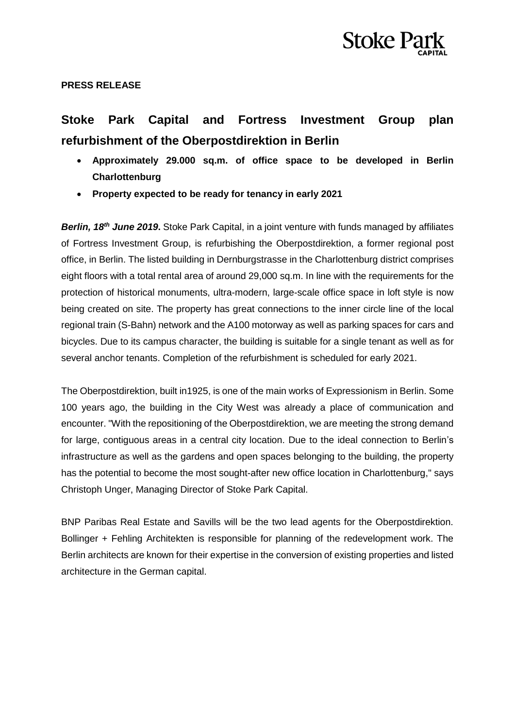

## **PRESS RELEASE**

# **Stoke Park Capital and Fortress Investment Group plan refurbishment of the Oberpostdirektion in Berlin**

- **Approximately 29.000 sq.m. of office space to be developed in Berlin Charlottenburg**
- **Property expected to be ready for tenancy in early 2021**

**Berlin, 18<sup>th</sup> June 2019.** Stoke Park Capital, in a joint venture with funds managed by affiliates of Fortress Investment Group, is refurbishing the Oberpostdirektion, a former regional post office, in Berlin. The listed building in Dernburgstrasse in the Charlottenburg district comprises eight floors with a total rental area of around 29,000 sq.m. In line with the requirements for the protection of historical monuments, ultra-modern, large-scale office space in loft style is now being created on site. The property has great connections to the inner circle line of the local regional train (S-Bahn) network and the A100 motorway as well as parking spaces for cars and bicycles. Due to its campus character, the building is suitable for a single tenant as well as for several anchor tenants. Completion of the refurbishment is scheduled for early 2021.

The Oberpostdirektion, built in1925, is one of the main works of Expressionism in Berlin. Some 100 years ago, the building in the City West was already a place of communication and encounter. "With the repositioning of the Oberpostdirektion, we are meeting the strong demand for large, contiguous areas in a central city location. Due to the ideal connection to Berlin's infrastructure as well as the gardens and open spaces belonging to the building, the property has the potential to become the most sought-after new office location in Charlottenburg," says Christoph Unger, Managing Director of Stoke Park Capital.

BNP Paribas Real Estate and Savills will be the two lead agents for the Oberpostdirektion. Bollinger + Fehling Architekten is responsible for planning of the redevelopment work. The Berlin architects are known for their expertise in the conversion of existing properties and listed architecture in the German capital.